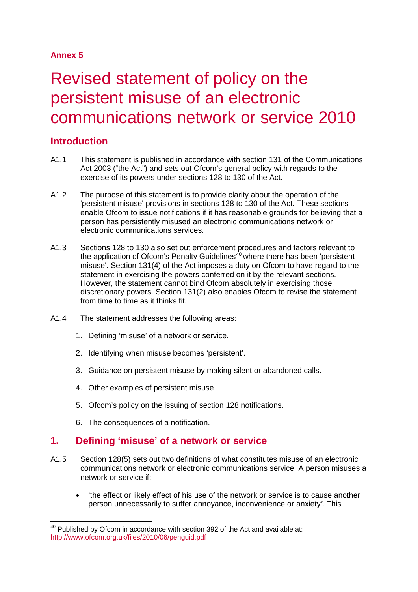# **Annex 5**

# Revised statement of policy on the persistent misuse of an electronic communications network or service 2010

# **Introduction**

- A1.1 This statement is published in accordance with section 131 of the Communications Act 2003 ("the Act") and sets out Ofcom's general policy with regards to the exercise of its powers under sections 128 to 130 of the Act.
- A1.2 The purpose of this statement is to provide clarity about the operation of the 'persistent misuse' provisions in sections 128 to 130 of the Act. These sections enable Ofcom to issue notifications if it has reasonable grounds for believing that a person has persistently misused an electronic communications network or electronic communications services.
- A1.3 Sections 128 to 130 also set out enforcement procedures and factors relevant to the application of Ofcom's Penalty Guidelines<sup>[40](#page-0-0)</sup> where there has been 'persistent misuse'. Section 131(4) of the Act imposes a duty on Ofcom to have regard to the statement in exercising the powers conferred on it by the relevant sections. However, the statement cannot bind Ofcom absolutely in exercising those discretionary powers. Section 131(2) also enables Ofcom to revise the statement from time to time as it thinks fit.
- A1.4 The statement addresses the following areas:
	- 1. Defining 'misuse' of a network or service.
	- 2. Identifying when misuse becomes 'persistent'.
	- 3. Guidance on persistent misuse by making silent or abandoned calls.
	- 4. Other examples of persistent misuse
	- 5. Ofcom's policy on the issuing of section 128 notifications.
	- 6. The consequences of a notification.

# **1. Defining 'misuse' of a network or service**

- A1.5 Section 128(5) sets out two definitions of what constitutes misuse of an electronic communications network or electronic communications service. A person misuses a network or service if:
	- 'the effect or likely effect of his use of the network or service is to cause another person unnecessarily to suffer annoyance, inconvenience or anxiety*'*. This

<span id="page-0-0"></span> $40$  Published by Ofcom in accordance with section 392 of the Act and available at: <http://www.ofcom.org.uk/files/2010/06/penguid.pdf>  $\overline{a}$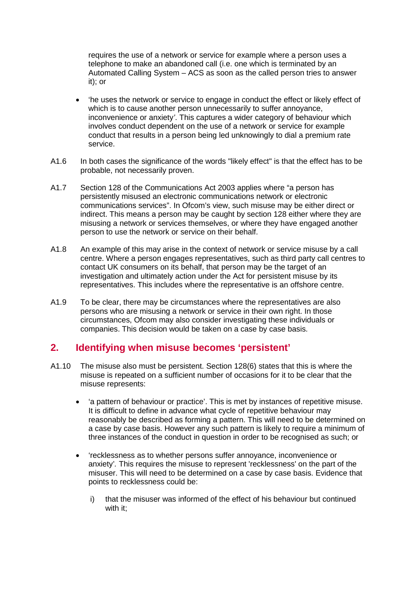requires the use of a network or service for example where a person uses a telephone to make an abandoned call (i.e. one which is terminated by an Automated Calling System – ACS as soon as the called person tries to answer it); or

- 'he uses the network or service to engage in conduct the effect or likely effect of which is to cause another person unnecessarily to suffer annoyance, inconvenience or anxiety*'*. This captures a wider category of behaviour which involves conduct dependent on the use of a network or service for example conduct that results in a person being led unknowingly to dial a premium rate service.
- A1.6 In both cases the significance of the words "likely effect" is that the effect has to be probable, not necessarily proven.
- A1.7 Section 128 of the Communications Act 2003 applies where "a person has persistently misused an electronic communications network or electronic communications services". In Ofcom's view, such misuse may be either direct or indirect. This means a person may be caught by section 128 either where they are misusing a network or services themselves, or where they have engaged another person to use the network or service on their behalf.
- A1.8 An example of this may arise in the context of network or service misuse by a call centre. Where a person engages representatives, such as third party call centres to contact UK consumers on its behalf, that person may be the target of an investigation and ultimately action under the Act for persistent misuse by its representatives. This includes where the representative is an offshore centre.
- A1.9 To be clear, there may be circumstances where the representatives are also persons who are misusing a network or service in their own right. In those circumstances, Ofcom may also consider investigating these individuals or companies. This decision would be taken on a case by case basis.

# **2. Identifying when misuse becomes 'persistent'**

- A1.10 The misuse also must be persistent. Section 128(6) states that this is where the misuse is repeated on a sufficient number of occasions for it to be clear that the misuse represents:
	- 'a pattern of behaviour or practice'. This is met by instances of repetitive misuse. It is difficult to define in advance what cycle of repetitive behaviour may reasonably be described as forming a pattern. This will need to be determined on a case by case basis. However any such pattern is likely to require a minimum of three instances of the conduct in question in order to be recognised as such; or
	- 'recklessness as to whether persons suffer annoyance, inconvenience or anxiety'*.* This requires the misuse to represent 'recklessness' on the part of the misuser. This will need to be determined on a case by case basis. Evidence that points to recklessness could be:
		- i) that the misuser was informed of the effect of his behaviour but continued with it;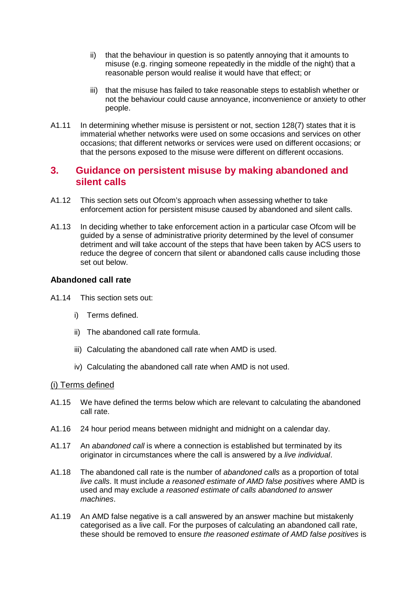- ii) that the behaviour in question is so patently annoying that it amounts to misuse (e.g. ringing someone repeatedly in the middle of the night) that a reasonable person would realise it would have that effect; or
- iii) that the misuse has failed to take reasonable steps to establish whether or not the behaviour could cause annoyance, inconvenience or anxiety to other people.
- A1.11 In determining whether misuse is persistent or not, section 128(7) states that it is immaterial whether networks were used on some occasions and services on other occasions; that different networks or services were used on different occasions; or that the persons exposed to the misuse were different on different occasions.

# **3. Guidance on persistent misuse by making abandoned and silent calls**

- A1.12 This section sets out Ofcom's approach when assessing whether to take enforcement action for persistent misuse caused by abandoned and silent calls.
- A1.13 In deciding whether to take enforcement action in a particular case Ofcom will be guided by a sense of administrative priority determined by the level of consumer detriment and will take account of the steps that have been taken by ACS users to reduce the degree of concern that silent or abandoned calls cause including those set out below.

## **Abandoned call rate**

- A1.14 This section sets out:
	- i) Terms defined.
	- ii) The abandoned call rate formula.
	- iii) Calculating the abandoned call rate when AMD is used.
	- iv) Calculating the abandoned call rate when AMD is not used.

#### (i) Terms defined

- A1.15 We have defined the terms below which are relevant to calculating the abandoned call rate.
- A1.16 24 hour period means between midnight and midnight on a calendar day.
- A1.17 An *abandoned call* is where a connection is established but terminated by its originator in circumstances where the call is answered by a *live individual*.
- A1.18 The abandoned call rate is the number of *abandoned calls* as a proportion of total *live calls*. It must include *a reasoned estimate of AMD false positives* where AMD is used and may exclude *a reasoned estimate of calls abandoned to answer machines*.
- A1.19 An AMD false negative is a call answered by an answer machine but mistakenly categorised as a live call. For the purposes of calculating an abandoned call rate, these should be removed to ensure *the reasoned estimate of AMD false positives* is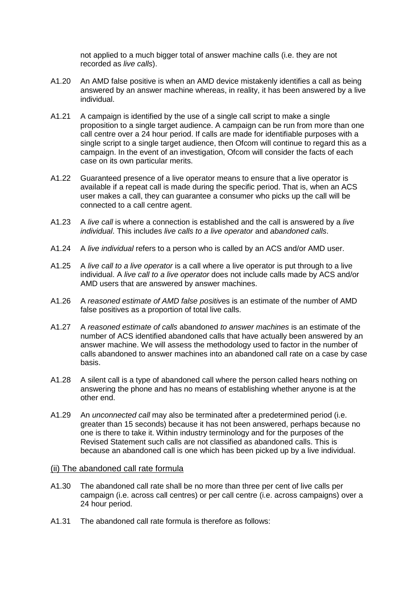not applied to a much bigger total of answer machine calls (i.e. they are not recorded as *live calls*).

- A1.20 An AMD false positive is when an AMD device mistakenly identifies a call as being answered by an answer machine whereas, in reality, it has been answered by a live individual.
- A1.21 A campaign is identified by the use of a single call script to make a single proposition to a single target audience. A campaign can be run from more than one call centre over a 24 hour period. If calls are made for identifiable purposes with a single script to a single target audience, then Ofcom will continue to regard this as a campaign. In the event of an investigation, Ofcom will consider the facts of each case on its own particular merits.
- A1.22 Guaranteed presence of a live operator means to ensure that a live operator is available if a repeat call is made during the specific period. That is, when an ACS user makes a call, they can guarantee a consumer who picks up the call will be connected to a call centre agent.
- A1.23 A *live call* is where a connection is established and the call is answered by a *live individual*. This includes *live calls to a live operator* and *abandoned calls*.
- A1.24 A *live individual* refers to a person who is called by an ACS and/or AMD user.
- A1.25 A *live call to a live operator* is a call where a live operator is put through to a live individual. A *live call to a live operator* does not include calls made by ACS and/or AMD users that are answered by answer machines.
- A1.26 A *reasoned estimate of AMD false positiv*es is an estimate of the number of AMD false positives as a proportion of total live calls.
- A1.27 A *reasoned estimate of calls* abandoned *to answer machines* is an estimate of the number of ACS identified abandoned calls that have actually been answered by an answer machine. We will assess the methodology used to factor in the number of calls abandoned to answer machines into an abandoned call rate on a case by case basis.
- A1.28 A silent call is a type of abandoned call where the person called hears nothing on answering the phone and has no means of establishing whether anyone is at the other end.
- A1.29 An *unconnected call* may also be terminated after a predetermined period (i.e. greater than 15 seconds) because it has not been answered, perhaps because no one is there to take it. Within industry terminology and for the purposes of the Revised Statement such calls are not classified as abandoned calls. This is because an abandoned call is one which has been picked up by a live individual.

#### (ii) The abandoned call rate formula

- A1.30 The abandoned call rate shall be no more than three per cent of live calls per campaign (i.e. across call centres) or per call centre (i.e. across campaigns) over a 24 hour period.
- A1.31 The abandoned call rate formula is therefore as follows: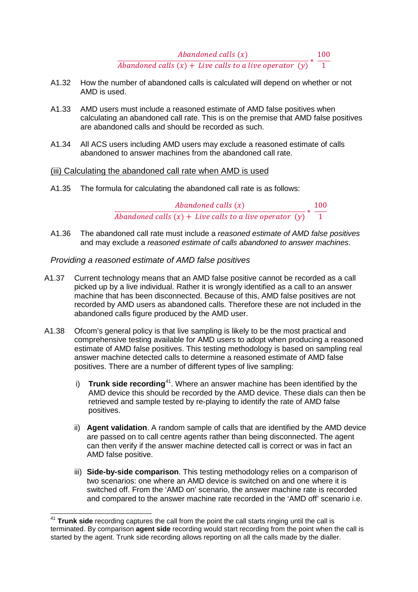Abandoned calls  $(x)$ Abandoned calls (x)<br>Abandoned calls (x) + Live calls to a live operator (y)  $*$   $\frac{100}{1}$ 

- A1.32 How the number of abandoned calls is calculated will depend on whether or not AMD is used.
- A1.33 AMD users must include a reasoned estimate of AMD false positives when calculating an abandoned call rate. This is on the premise that AMD false positives are abandoned calls and should be recorded as such.
- A1.34 All ACS users including AMD users may exclude a reasoned estimate of calls abandoned to answer machines from the abandoned call rate.

## (iii) Calculating the abandoned call rate when AMD is used

A1.35 The formula for calculating the abandoned call rate is as follows:

Abandoned calls  $(x)$ Abandoned calls (x)<br>Abandoned calls (x) + Live calls to a live operator (y)  $*$   $\frac{100}{1}$ 

A1.36 The abandoned call rate must include a *reasoned estimate of AMD false positives* and may exclude a *reasoned estimate of calls abandoned to answer machines*.

## *Providing a reasoned estimate of AMD false positives*

- A1.37 Current technology means that an AMD false positive cannot be recorded as a call picked up by a live individual. Rather it is wrongly identified as a call to an answer machine that has been disconnected. Because of this, AMD false positives are not recorded by AMD users as abandoned calls. Therefore these are not included in the abandoned calls figure produced by the AMD user.
- A1.38 Ofcom's general policy is that live sampling is likely to be the most practical and comprehensive testing available for AMD users to adopt when producing a reasoned estimate of AMD false positives. This testing methodology is based on sampling real answer machine detected calls to determine a reasoned estimate of AMD false positives. There are a number of different types of live sampling:
	- i) **Trunk side recording**[41.](#page-4-0) Where an answer machine has been identified by the AMD device this should be recorded by the AMD device. These dials can then be retrieved and sample tested by re-playing to identify the rate of AMD false positives.
	- ii) **Agent validation**. A random sample of calls that are identified by the AMD device are passed on to call centre agents rather than being disconnected. The agent can then verify if the answer machine detected call is correct or was in fact an AMD false positive.
	- iii) **Side-by-side comparison**. This testing methodology relies on a comparison of two scenarios: one where an AMD device is switched on and one where it is switched off. From the 'AMD on' scenario, the answer machine rate is recorded and compared to the answer machine rate recorded in the 'AMD off' scenario i.e.

<span id="page-4-0"></span><sup>&</sup>lt;sup>41</sup> Trunk side recording captures the call from the point the call starts ringing until the call is terminated. By comparison **agent side** recording would start recording from the point when the call is started by the agent. Trunk side recording allows reporting on all the calls made by the dialler.  $\overline{a}$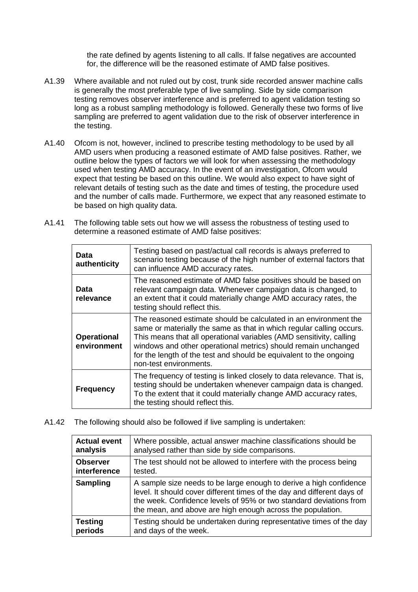the rate defined by agents listening to all calls. If false negatives are accounted for, the difference will be the reasoned estimate of AMD false positives.

- A1.39 Where available and not ruled out by cost, trunk side recorded answer machine calls is generally the most preferable type of live sampling. Side by side comparison testing removes observer interference and is preferred to agent validation testing so long as a robust sampling methodology is followed. Generally these two forms of live sampling are preferred to agent validation due to the risk of observer interference in the testing.
- A1.40 Ofcom is not, however, inclined to prescribe testing methodology to be used by all AMD users when producing a reasoned estimate of AMD false positives. Rather, we outline below the types of factors we will look for when assessing the methodology used when testing AMD accuracy. In the event of an investigation, Ofcom would expect that testing be based on this outline. We would also expect to have sight of relevant details of testing such as the date and times of testing, the procedure used and the number of calls made. Furthermore, we expect that any reasoned estimate to be based on high quality data.
- A1.41 The following table sets out how we will assess the robustness of testing used to determine a reasoned estimate of AMD false positives:

| Data<br>authenticity              | Testing based on past/actual call records is always preferred to<br>scenario testing because of the high number of external factors that<br>can influence AMD accuracy rates.                                                                                                                                                                                                     |
|-----------------------------------|-----------------------------------------------------------------------------------------------------------------------------------------------------------------------------------------------------------------------------------------------------------------------------------------------------------------------------------------------------------------------------------|
| Data<br>relevance                 | The reasoned estimate of AMD false positives should be based on<br>relevant campaign data. Whenever campaign data is changed, to<br>an extent that it could materially change AMD accuracy rates, the<br>testing should reflect this.                                                                                                                                             |
| <b>Operational</b><br>environment | The reasoned estimate should be calculated in an environment the<br>same or materially the same as that in which regular calling occurs.<br>This means that all operational variables (AMD sensitivity, calling<br>windows and other operational metrics) should remain unchanged<br>for the length of the test and should be equivalent to the ongoing<br>non-test environments. |
| <b>Frequency</b>                  | The frequency of testing is linked closely to data relevance. That is,<br>testing should be undertaken whenever campaign data is changed.<br>To the extent that it could materially change AMD accuracy rates,<br>the testing should reflect this.                                                                                                                                |

A1.42 The following should also be followed if live sampling is undertaken:

| <b>Actual event</b> | Where possible, actual answer machine classifications should be                                                                                                                                                                                                                   |
|---------------------|-----------------------------------------------------------------------------------------------------------------------------------------------------------------------------------------------------------------------------------------------------------------------------------|
| analysis            | analysed rather than side by side comparisons.                                                                                                                                                                                                                                    |
| <b>Observer</b>     | The test should not be allowed to interfere with the process being                                                                                                                                                                                                                |
| interference        | tested.                                                                                                                                                                                                                                                                           |
| <b>Sampling</b>     | A sample size needs to be large enough to derive a high confidence<br>level. It should cover different times of the day and different days of<br>the week. Confidence levels of 95% or two standard deviations from<br>the mean, and above are high enough across the population. |
| <b>Testing</b>      | Testing should be undertaken during representative times of the day                                                                                                                                                                                                               |
| periods             | and days of the week.                                                                                                                                                                                                                                                             |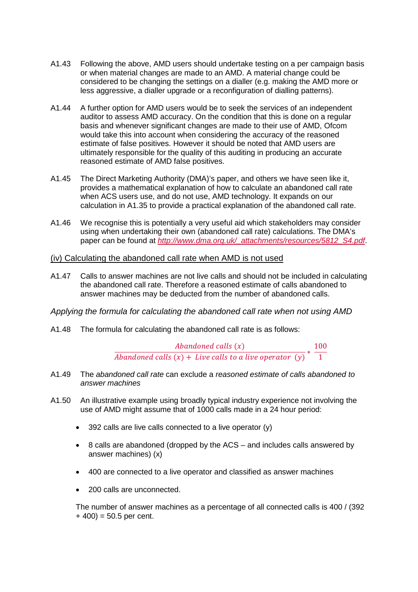- A1.43 Following the above, AMD users should undertake testing on a per campaign basis or when material changes are made to an AMD. A material change could be considered to be changing the settings on a dialler (e.g. making the AMD more or less aggressive, a dialler upgrade or a reconfiguration of dialling patterns).
- A1.44 A further option for AMD users would be to seek the services of an independent auditor to assess AMD accuracy. On the condition that this is done on a regular basis and whenever significant changes are made to their use of AMD, Ofcom would take this into account when considering the accuracy of the reasoned estimate of false positives. However it should be noted that AMD users are ultimately responsible for the quality of this auditing in producing an accurate reasoned estimate of AMD false positives.
- A1.45 The Direct Marketing Authority (DMA)'s paper, and others we have seen like it, provides a mathematical explanation of how to calculate an abandoned call rate when ACS users use, and do not use, AMD technology. It expands on our calculation in A1.35 to provide a practical explanation of the abandoned call rate.
- A1.46 We recognise this is potentially a very useful aid which stakeholders may consider using when undertaking their own (abandoned call rate) calculations. The DMA's paper can be found at *[http://www.dma.org.uk/\\_attachments/resources/5812\\_S4.pdf](http://www.dma.org.uk/_attachments/resources/5812_S4.pdf)*.

## (iv) Calculating the abandoned call rate when AMD is not used

A1.47 Calls to answer machines are not live calls and should not be included in calculating the abandoned call rate. Therefore a reasoned estimate of calls abandoned to answer machines may be deducted from the number of abandoned calls.

*Applying the formula for calculating the abandoned call rate when not using AMD*

A1.48 The formula for calculating the abandoned call rate is as follows:

# Abandoned calls  $(x)$ Abandoned calls (x)<br>Abandoned calls (x) + Live calls to a live operator (y)  $*$   $\frac{100}{1}$

- A1.49 The *abandoned call rate* can exclude a *reasoned estimate of calls abandoned to answer machines*
- A1.50 An illustrative example using broadly typical industry experience not involving the use of AMD might assume that of 1000 calls made in a 24 hour period:
	- 392 calls are live calls connected to a live operator (y)
	- 8 calls are abandoned (dropped by the ACS and includes calls answered by answer machines) (x)
	- 400 are connected to a live operator and classified as answer machines
	- 200 calls are unconnected.

The number of answer machines as a percentage of all connected calls is 400 / (392  $+ 400$ ) = 50.5 per cent.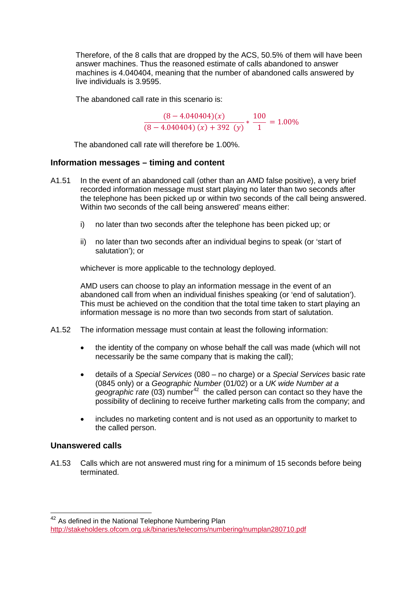Therefore, of the 8 calls that are dropped by the ACS, 50.5% of them will have been answer machines. Thus the reasoned estimate of calls abandoned to answer machines is 4.040404, meaning that the number of abandoned calls answered by live individuals is 3.9595.

The abandoned call rate in this scenario is:

$$
\frac{(8-4.040404)(x)}{(8-4.040404)(x)+392(y)} * \frac{100}{1} = 1.00\%
$$

The abandoned call rate will therefore be 1.00%.

#### **Information messages – timing and content**

- A1.51 In the event of an abandoned call (other than an AMD false positive), a very brief recorded information message must start playing no later than two seconds after the telephone has been picked up or within two seconds of the call being answered. Within two seconds of the call being answered' means either:
	- i) no later than two seconds after the telephone has been picked up; or
	- ii) no later than two seconds after an individual begins to speak (or 'start of salutation'); or

whichever is more applicable to the technology deployed.

AMD users can choose to play an information message in the event of an abandoned call from when an individual finishes speaking (or 'end of salutation'). This must be achieved on the condition that the total time taken to start playing an information message is no more than two seconds from start of salutation.

- A1.52 The information message must contain at least the following information:
	- the identity of the company on whose behalf the call was made (which will not necessarily be the same company that is making the call);
	- details of a *Special Services* (080 no charge) or a *Special Services* basic rate (0845 only) or a *Geographic Number* (01/02) or a *UK wide Number at a geographic rate* (03) number<sup>[42](#page-7-0)</sup> the called person can contact so they have the possibility of declining to receive further marketing calls from the company; and
	- includes no marketing content and is not used as an opportunity to market to the called person.

## **Unanswered calls**

-

A1.53 Calls which are not answered must ring for a minimum of 15 seconds before being terminated.

<span id="page-7-0"></span><sup>&</sup>lt;sup>42</sup> As defined in the National Telephone Numbering Plan <http://stakeholders.ofcom.org.uk/binaries/telecoms/numbering/numplan280710.pdf>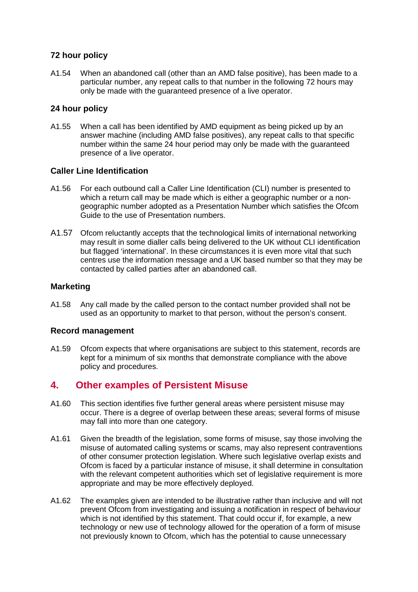## **72 hour policy**

A1.54 When an abandoned call (other than an AMD false positive), has been made to a particular number, any repeat calls to that number in the following 72 hours may only be made with the guaranteed presence of a live operator.

## **24 hour policy**

A1.55 When a call has been identified by AMD equipment as being picked up by an answer machine (including AMD false positives), any repeat calls to that specific number within the same 24 hour period may only be made with the guaranteed presence of a live operator.

## **Caller Line Identification**

- A1.56 For each outbound call a Caller Line Identification (CLI) number is presented to which a return call may be made which is either a geographic number or a nongeographic number adopted as a Presentation Number which satisfies the Ofcom Guide to the use of Presentation numbers.
- A1.57 Ofcom reluctantly accepts that the technological limits of international networking may result in some dialler calls being delivered to the UK without CLI identification but flagged 'international'. In these circumstances it is even more vital that such centres use the information message and a UK based number so that they may be contacted by called parties after an abandoned call.

## **Marketing**

A1.58 Any call made by the called person to the contact number provided shall not be used as an opportunity to market to that person, without the person's consent.

## **Record management**

A1.59 Ofcom expects that where organisations are subject to this statement, records are kept for a minimum of six months that demonstrate compliance with the above policy and procedures.

# **4. Other examples of Persistent Misuse**

- A1.60 This section identifies five further general areas where persistent misuse may occur. There is a degree of overlap between these areas; several forms of misuse may fall into more than one category.
- A1.61 Given the breadth of the legislation, some forms of misuse, say those involving the misuse of automated calling systems or scams, may also represent contraventions of other consumer protection legislation. Where such legislative overlap exists and Ofcom is faced by a particular instance of misuse, it shall determine in consultation with the relevant competent authorities which set of legislative requirement is more appropriate and may be more effectively deployed.
- A1.62 The examples given are intended to be illustrative rather than inclusive and will not prevent Ofcom from investigating and issuing a notification in respect of behaviour which is not identified by this statement. That could occur if, for example, a new technology or new use of technology allowed for the operation of a form of misuse not previously known to Ofcom, which has the potential to cause unnecessary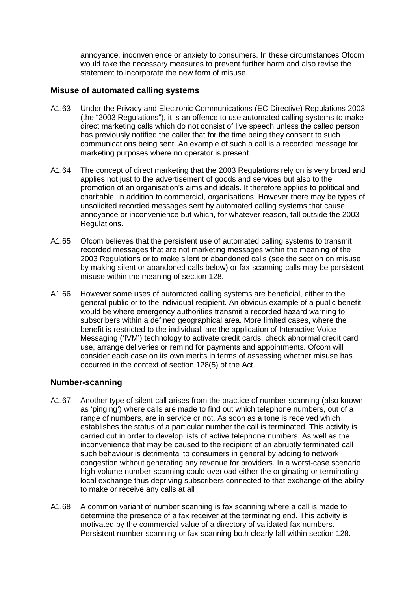annoyance, inconvenience or anxiety to consumers. In these circumstances Ofcom would take the necessary measures to prevent further harm and also revise the statement to incorporate the new form of misuse.

#### **Misuse of automated calling systems**

- A1.63 Under the Privacy and Electronic Communications (EC Directive) Regulations 2003 (the "2003 Regulations"), it is an offence to use automated calling systems to make direct marketing calls which do not consist of live speech unless the called person has previously notified the caller that for the time being they consent to such communications being sent. An example of such a call is a recorded message for marketing purposes where no operator is present.
- A1.64 The concept of direct marketing that the 2003 Regulations rely on is very broad and applies not just to the advertisement of goods and services but also to the promotion of an organisation's aims and ideals. It therefore applies to political and charitable, in addition to commercial, organisations. However there may be types of unsolicited recorded messages sent by automated calling systems that cause annoyance or inconvenience but which, for whatever reason, fall outside the 2003 Regulations.
- A1.65 Ofcom believes that the persistent use of automated calling systems to transmit recorded messages that are not marketing messages within the meaning of the 2003 Regulations or to make silent or abandoned calls (see the section on misuse by making silent or abandoned calls below) or fax-scanning calls may be persistent misuse within the meaning of section 128.
- A1.66 However some uses of automated calling systems are beneficial, either to the general public or to the individual recipient. An obvious example of a public benefit would be where emergency authorities transmit a recorded hazard warning to subscribers within a defined geographical area. More limited cases, where the benefit is restricted to the individual, are the application of Interactive Voice Messaging ('IVM') technology to activate credit cards, check abnormal credit card use, arrange deliveries or remind for payments and appointments. Ofcom will consider each case on its own merits in terms of assessing whether misuse has occurred in the context of section 128(5) of the Act.

## **Number-scanning**

- A1.67 Another type of silent call arises from the practice of number-scanning (also known as 'pinging') where calls are made to find out which telephone numbers, out of a range of numbers, are in service or not. As soon as a tone is received which establishes the status of a particular number the call is terminated. This activity is carried out in order to develop lists of active telephone numbers. As well as the inconvenience that may be caused to the recipient of an abruptly terminated call such behaviour is detrimental to consumers in general by adding to network congestion without generating any revenue for providers. In a worst-case scenario high-volume number-scanning could overload either the originating or terminating local exchange thus depriving subscribers connected to that exchange of the ability to make or receive any calls at all
- A1.68 A common variant of number scanning is fax scanning where a call is made to determine the presence of a fax receiver at the terminating end. This activity is motivated by the commercial value of a directory of validated fax numbers. Persistent number-scanning or fax-scanning both clearly fall within section 128.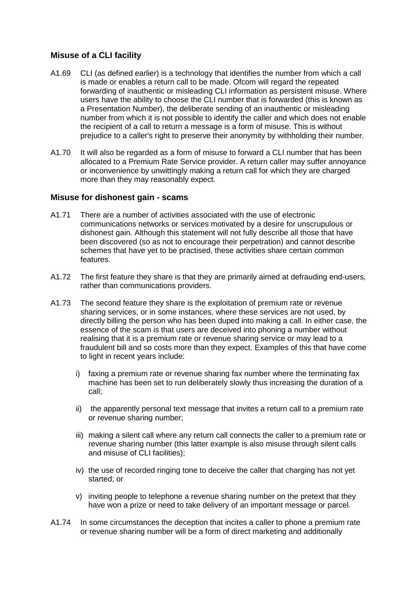## **Misuse of a CLI facility**

- A1.69 CLI (as defined earlier) is a technology that identifies the number from which a call is made or enables a return call to be made. Ofcom will regard the repeated forwarding of inauthentic or misleading CLI information as persistent misuse. Where users have the ability to choose the CLI number that is forwarded (this is known as a Presentation Number), the deliberate sending of an inauthentic or misleading number from which it is not possible to identify the caller and which does not enable the recipient of a call to return a message is a form of misuse. This is without prejudice to a caller's right to preserve their anonymity by withholding their number.
- A1.70 It will also be regarded as a form of misuse to forward a CLI number that has been allocated to a Premium Rate Service provider. A return caller may suffer annoyance or inconvenience by unwittingly making a return call for which they are charged more than they may reasonably expect.

## **Misuse for dishonest gain - scams**

- A1.71 There are a number of activities associated with the use of electronic communications networks or services motivated by a desire for unscrupulous or dishonest gain. Although this statement will not fully describe all those that have been discovered (so as not to encourage their perpetration) and cannot describe schemes that have yet to be practised, these activities share certain common features.
- A1.72 The first feature they share is that they are primarily aimed at defrauding end-users, rather than communications providers.
- A1.73 The second feature they share is the exploitation of premium rate or revenue sharing services, or in some instances, where these services are not used, by directly billing the person who has been duped into making a call. In either case, the essence of the scam is that users are deceived into phoning a number without realising that it is a premium rate or revenue sharing service or may lead to a fraudulent bill and so costs more than they expect. Examples of this that have come to light in recent years include:
	- i) faxing a premium rate or revenue sharing fax number where the terminating fax machine has been set to run deliberately slowly thus increasing the duration of a call;
	- ii) the apparently personal text message that invites a return call to a premium rate or revenue sharing number;
	- iii) making a silent call where any return call connects the caller to a premium rate or revenue sharing number (this latter example is also misuse through silent calls and misuse of CLI facilities);
	- iv) the use of recorded ringing tone to deceive the caller that charging has not yet started; or
	- v) inviting people to telephone a revenue sharing number on the pretext that they have won a prize or need to take delivery of an important message or parcel.
- A1.74 In some circumstances the deception that incites a caller to phone a premium rate or revenue sharing number will be a form of direct marketing and additionally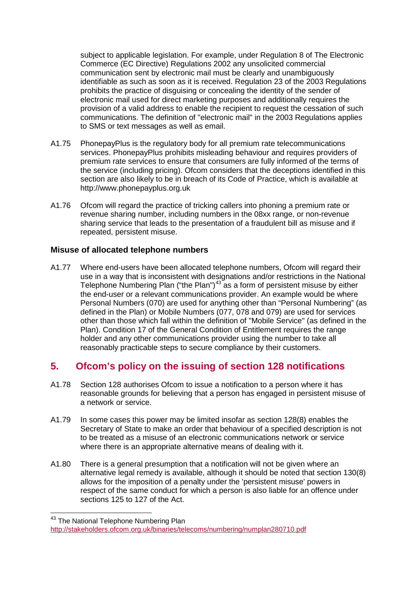subject to applicable legislation. For example, under Regulation 8 of The Electronic Commerce (EC Directive) Regulations 2002 any unsolicited commercial communication sent by electronic mail must be clearly and unambiguously identifiable as such as soon as it is received. Regulation 23 of the 2003 Regulations prohibits the practice of disguising or concealing the identity of the sender of electronic mail used for direct marketing purposes and additionally requires the provision of a valid address to enable the recipient to request the cessation of such communications. The definition of "electronic mail" in the 2003 Regulations applies to SMS or text messages as well as email.

- A1.75 PhonepayPlus is the regulatory body for all premium rate telecommunications services. PhonepayPlus prohibits misleading behaviour and requires providers of premium rate services to ensure that consumers are fully informed of the terms of the service (including pricing). Ofcom considers that the deceptions identified in this section are also likely to be in breach of its Code of Practice, which is available at http://www.phonepayplus.org.uk
- A1.76 Ofcom will regard the practice of tricking callers into phoning a premium rate or revenue sharing number, including numbers in the 08xx range, or non-revenue sharing service that leads to the presentation of a fraudulent bill as misuse and if repeated, persistent misuse.

## **Misuse of allocated telephone numbers**

A1.77 Where end-users have been allocated telephone numbers, Ofcom will regard their use in a way that is inconsistent with designations and/or restrictions in the National Telephone Numbering Plan ("the Plan")<sup>[43](#page-11-0)</sup> as a form of persistent misuse by either the end-user or a relevant communications provider. An example would be where Personal Numbers (070) are used for anything other than "Personal Numbering" (as defined in the Plan) or Mobile Numbers (077, 078 and 079) are used for services other than those which fall within the definition of "Mobile Service" (as defined in the Plan). Condition 17 of the General Condition of Entitlement requires the range holder and any other communications provider using the number to take all reasonably practicable steps to secure compliance by their customers.

# **5. Ofcom's policy on the issuing of section 128 notifications**

- A1.78 Section 128 authorises Ofcom to issue a notification to a person where it has reasonable grounds for believing that a person has engaged in persistent misuse of a network or service.
- A1.79 In some cases this power may be limited insofar as section 128(8) enables the Secretary of State to make an order that behaviour of a specified description is not to be treated as a misuse of an electronic communications network or service where there is an appropriate alternative means of dealing with it.
- A1.80 There is a general presumption that a notification will not be given where an alternative legal remedy is available, although it should be noted that section 130(8) allows for the imposition of a penalty under the 'persistent misuse' powers in respect of the same conduct for which a person is also liable for an offence under sections 125 to 127 of the Act.

-

<span id="page-11-0"></span><sup>&</sup>lt;sup>43</sup> The National Telephone Numbering Plan

<http://stakeholders.ofcom.org.uk/binaries/telecoms/numbering/numplan280710.pdf>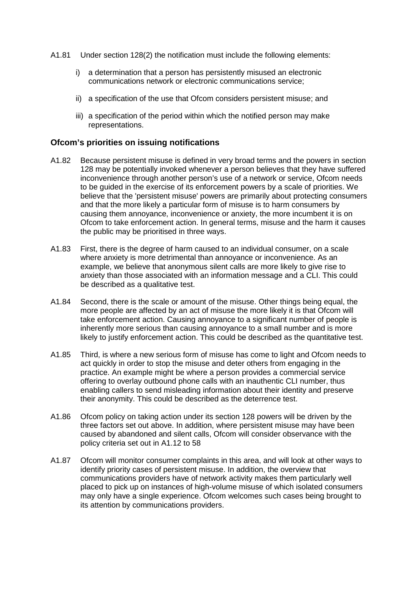- A1.81 Under section 128(2) the notification must include the following elements:
	- i) a determination that a person has persistently misused an electronic communications network or electronic communications service;
	- ii) a specification of the use that Ofcom considers persistent misuse; and
	- iii) a specification of the period within which the notified person may make representations.

#### **Ofcom's priorities on issuing notifications**

- A1.82 Because persistent misuse is defined in very broad terms and the powers in section 128 may be potentially invoked whenever a person believes that they have suffered inconvenience through another person's use of a network or service, Ofcom needs to be guided in the exercise of its enforcement powers by a scale of priorities. We believe that the 'persistent misuse' powers are primarily about protecting consumers and that the more likely a particular form of misuse is to harm consumers by causing them annoyance, inconvenience or anxiety, the more incumbent it is on Ofcom to take enforcement action. In general terms, misuse and the harm it causes the public may be prioritised in three ways.
- A1.83 First, there is the degree of harm caused to an individual consumer, on a scale where anxiety is more detrimental than annoyance or inconvenience. As an example, we believe that anonymous silent calls are more likely to give rise to anxiety than those associated with an information message and a CLI. This could be described as a qualitative test.
- A1.84 Second, there is the scale or amount of the misuse. Other things being equal, the more people are affected by an act of misuse the more likely it is that Ofcom will take enforcement action. Causing annoyance to a significant number of people is inherently more serious than causing annoyance to a small number and is more likely to justify enforcement action. This could be described as the quantitative test.
- A1.85 Third, is where a new serious form of misuse has come to light and Ofcom needs to act quickly in order to stop the misuse and deter others from engaging in the practice. An example might be where a person provides a commercial service offering to overlay outbound phone calls with an inauthentic CLI number, thus enabling callers to send misleading information about their identity and preserve their anonymity. This could be described as the deterrence test.
- A1.86 Ofcom policy on taking action under its section 128 powers will be driven by the three factors set out above. In addition, where persistent misuse may have been caused by abandoned and silent calls, Ofcom will consider observance with the policy criteria set out in A1.12 to 58
- A1.87 Ofcom will monitor consumer complaints in this area, and will look at other ways to identify priority cases of persistent misuse. In addition, the overview that communications providers have of network activity makes them particularly well placed to pick up on instances of high-volume misuse of which isolated consumers may only have a single experience. Ofcom welcomes such cases being brought to its attention by communications providers.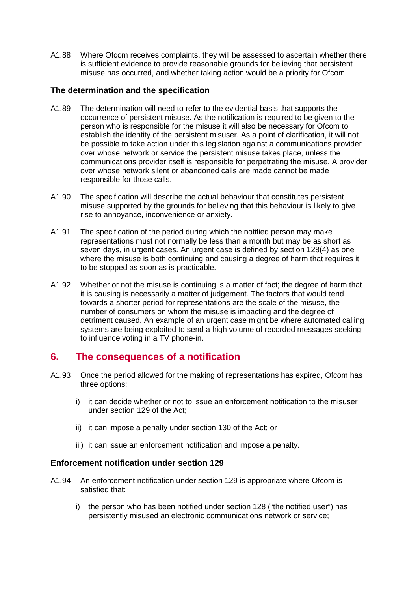A1.88 Where Ofcom receives complaints, they will be assessed to ascertain whether there is sufficient evidence to provide reasonable grounds for believing that persistent misuse has occurred, and whether taking action would be a priority for Ofcom.

#### **The determination and the specification**

- A1.89 The determination will need to refer to the evidential basis that supports the occurrence of persistent misuse. As the notification is required to be given to the person who is responsible for the misuse it will also be necessary for Ofcom to establish the identity of the persistent misuser. As a point of clarification, it will not be possible to take action under this legislation against a communications provider over whose network or service the persistent misuse takes place, unless the communications provider itself is responsible for perpetrating the misuse. A provider over whose network silent or abandoned calls are made cannot be made responsible for those calls.
- A1.90 The specification will describe the actual behaviour that constitutes persistent misuse supported by the grounds for believing that this behaviour is likely to give rise to annoyance, inconvenience or anxiety.
- A1.91 The specification of the period during which the notified person may make representations must not normally be less than a month but may be as short as seven days, in urgent cases. An urgent case is defined by section 128(4) as one where the misuse is both continuing and causing a degree of harm that requires it to be stopped as soon as is practicable.
- A1.92 Whether or not the misuse is continuing is a matter of fact; the degree of harm that it is causing is necessarily a matter of judgement. The factors that would tend towards a shorter period for representations are the scale of the misuse, the number of consumers on whom the misuse is impacting and the degree of detriment caused. An example of an urgent case might be where automated calling systems are being exploited to send a high volume of recorded messages seeking to influence voting in a TV phone-in.

## **6. The consequences of a notification**

- A1.93 Once the period allowed for the making of representations has expired, Ofcom has three options:
	- i) it can decide whether or not to issue an enforcement notification to the misuser under section 129 of the Act;
	- ii) it can impose a penalty under section 130 of the Act; or
	- iii) it can issue an enforcement notification and impose a penalty.

#### **Enforcement notification under section 129**

- A1.94 An enforcement notification under section 129 is appropriate where Ofcom is satisfied that:
	- i) the person who has been notified under section 128 ("the notified user") has persistently misused an electronic communications network or service;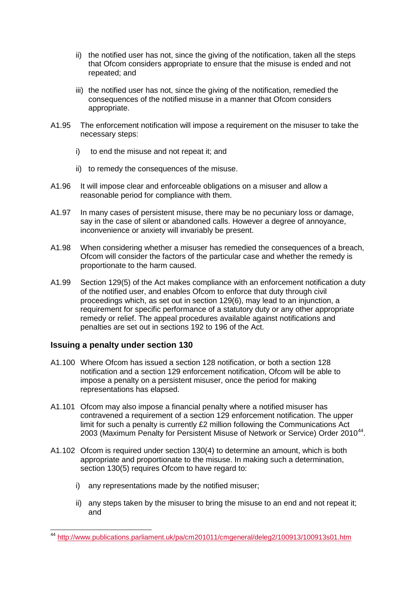- ii) the notified user has not, since the giving of the notification, taken all the steps that Ofcom considers appropriate to ensure that the misuse is ended and not repeated; and
- iii) the notified user has not, since the giving of the notification, remedied the consequences of the notified misuse in a manner that Ofcom considers appropriate.
- A1.95 The enforcement notification will impose a requirement on the misuser to take the necessary steps:
	- i) to end the misuse and not repeat it; and
	- ii) to remedy the consequences of the misuse.
- A1.96 It will impose clear and enforceable obligations on a misuser and allow a reasonable period for compliance with them.
- A1.97 In many cases of persistent misuse, there may be no pecuniary loss or damage, say in the case of silent or abandoned calls. However a degree of annoyance, inconvenience or anxiety will invariably be present.
- A1.98 When considering whether a misuser has remedied the consequences of a breach, Ofcom will consider the factors of the particular case and whether the remedy is proportionate to the harm caused.
- A1.99 Section 129(5) of the Act makes compliance with an enforcement notification a duty of the notified user, and enables Ofcom to enforce that duty through civil proceedings which, as set out in section 129(6), may lead to an injunction, a requirement for specific performance of a statutory duty or any other appropriate remedy or relief. The appeal procedures available against notifications and penalties are set out in sections 192 to 196 of the Act.

## **Issuing a penalty under section 130**

- A1.100 Where Ofcom has issued a section 128 notification, or both a section 128 notification and a section 129 enforcement notification, Ofcom will be able to impose a penalty on a persistent misuser, once the period for making representations has elapsed.
- A1.101 Ofcom may also impose a financial penalty where a notified misuser has contravened a requirement of a section 129 enforcement notification. The upper limit for such a penalty is currently £2 million following the Communications Act 2003 (Maximum Penalty for Persistent Misuse of Network or Service) Order 2010<sup>44</sup>.
- A1.102 Ofcom is required under section 130(4) to determine an amount, which is both appropriate and proportionate to the misuse. In making such a determination, section 130(5) requires Ofcom to have regard to:
	- i) any representations made by the notified misuser;
	- ii) any steps taken by the misuser to bring the misuse to an end and not repeat it; and

<span id="page-14-0"></span><sup>&</sup>lt;sup>44</sup> <http://www.publications.parliament.uk/pa/cm201011/cmgeneral/deleg2/100913/100913s01.htm>  $\overline{\phantom{a}}$